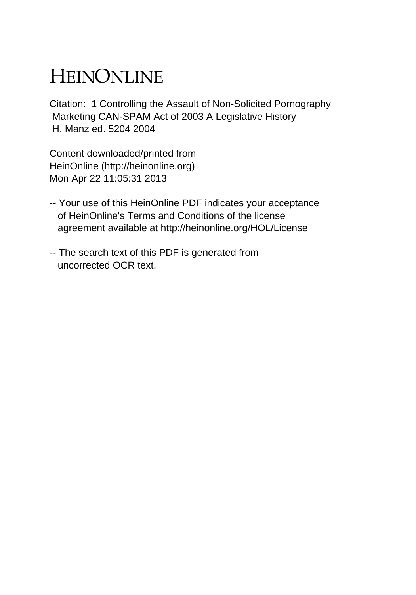# HEINONLINE

Citation: 1 Controlling the Assault of Non-Solicited Pornography Marketing CAN-SPAM Act of 2003 A Legislative History H. Manz ed. 5204 2004

Content downloaded/printed from HeinOnline (http://heinonline.org) Mon Apr 22 11:05:31 2013

- -- Your use of this HeinOnline PDF indicates your acceptance of HeinOnline's Terms and Conditions of the license agreement available at http://heinonline.org/HOL/License
- -- The search text of this PDF is generated from uncorrected OCR text.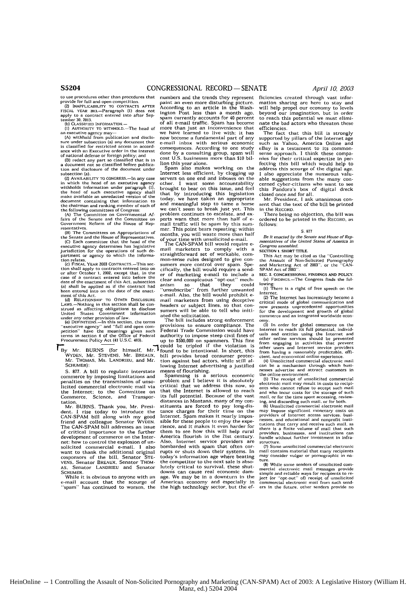of national defense or foreign policy; and

a document uccuse of *notein* so classified that is in<br>a document not so classified before publica-<br>tion and disclosure of the document under

in which the head of an executive agency other. I want some accountability<br>withholds information under paragraph (1), brought to bear on this issue, and feel<br>the head of such executive agency shall that by introducing this

tion shall apply to contracts entered into on cifically, the bill would require a send-<br>or after October 1, 2002, except that, in the er of marketing e-mail to include a<br>case of a contract entered into sefore the er of mar (a) shall be applied as if the contract had anism so that they could been entered into on the date **of** the enact- "unsubscribe" from further unwanted

strued as affecting obligations to disclose sumers will be able to tell who initiatived States Covernment information and the solicitation.<br>United States Covernment information ated the solicitation.<br>In this section, the t

\*lBy Mr. BURNS (for himself, M found to be intentional. In short, this WYDEN. Mr. **STEVENS,** Mr. BREAUX, bill provides broad consumer protec-

S. 877. A bill to regulate interstate penalties on the transmission of unso- problem and I believe it is absolutely licited commercial electronic mail via critical that we address this now, so the Internet; to the Committee on<br>Commerce, Science, and Transpor-<br>Lation.<br>Mr. BURNS. Thank you, Mr. Presi-

Mr. **BURNS.** Thank you, Mr. Presi- stituents are forced to pay long-dis-dent. I rise today to introduce the cance charges for their time on the dent. I rise today to introduce the tance charges for their time on the<br>CAN-SPAM bill along with my good Internet. Spam makes it nearly impos-<br>friend and colleague Senator WyDEN. sible-for-these-people-to-enjoy-the-expefriend and colleague Senator WYDEN. sible for these people to enjoy the expe-<br>The CAN-SPAM bill addresses an issue rience, and it makes it even harder for The CAN-SPAM bill addresses an issue rience, and it makes it even harder for of critical importance to the further them to see how this will help rural development of commerce on the Inter-<br>development of commerce on the Inter-<br>net: how to control the explosion of un-<br>Also, Internet: service providers are net; how to control the explosion of un- Also, Internet service providers are solicited commercial e-mail. I also bombarded with spain that often corsolicited commercial e-mail. I also bombarded with spam that often corvant to thank the additional original rupts or some ross of the bill. Senator STE- today's information age where beating cosponsors of the bill, Senator **STE-** today's information age where beating **VENS.** Senator BREAUX. Senator THOM- the competitor to the next sale is abso-

to use procedures other than procedures that mumbers and the trends they represent<br>provide for full and open competition. [201] paint an even more disturbing picture.<br>(2) INAPPLICABILITY TO CONTRACTS AFTER According to an FISCAL YEAR CONTRACTS AFTER According to an article in the Wash-FISCAL YEAR and Learned into after Sep spain currently accounts for 40 percent apply to a contract entered into after Sep spain currently accounts for 40 perc tember 35. **2.13. Ib) CLASSiFIED** INFORMATION.- of all e-mail traffic. Spam **has** become more than just an inconvenience that<br>we have learned to live with; it has an executive agency may—<br>is the proposed of the state of the surface same under subsection (a) any document that e-mail in<br>box with serious experience and the surface under subsection (a) any document that<br>e-mail inbox wit From Scoline a tunnamentari part of any<br>e-mail inbox with serious economic<br>consequences. According to one study<br>cost U.S. businesses more than \$10 bil-<br>lion this vear alone.

**the subsection and disclosure of the document under Spam also makes working on the subsection (a).** Internet less efficient, by clogging up **(2) AVAILABILITY TO CONGRESS.—In any case servers on one end and inboxes on the** which the head of an executive agency other. I want some accountability it has the inholds information under paragraph (i). brought to bear document containing that information to dard meaningful step to tame a appropriate<br>document containing member of each of and meaningful step to tame a horse<br>the following committees of Congress: we can't seem to break jus  $\frac{1}{2}$  in the state of the House of the metallic with the spentally estimates.<br>
This point bears repeating: within<br>
the Senate and the House of Representatives. of pour time with unsolicited e-mail.<br>
(C) Each committee

(b) Each committee that the head of the CAN-SPAM bill would require e-<br>executive agency determines has legislative<br>jurisdiction for the operations of such de-<br>partment or agency to which the informa- Straightforward set of tion relates. egency to which the informer consense rules designed to give con-<br>(c) FISCAL YEAR 2003 Contracts.-This sec- sumers more control over spam. Spe-<br>tion shall apply to contracts entered into on cifically, the bil ment **or** this Act. e-mail. Also, the bill would prohibit e- **(d)** RELATIONSHIP TO OTHER **DISCLOSURE** mail marketers from using deceptive LAWS,—Nothing in this section shall be con-<br>strued as affecting obligations to disclose sumers will be able to tell who initi-

provisions to ensure compliance. The<br>Federal Trade Commission would have petition" have the meanings given such Federal Trade Commission would have<br>terms in section 4 of the Office of Federal authority to impose steep civil fines of<br>Procurement Policy Act (41 U.S.C. 403). Up to \$500,000 on spam up to \$500,000 on spammers. This fine<br>could be tripled if the violation is<br>found to be intentional. In short, this

Mr. THOMAS, Ms. LANDRIEU, and Mr. tion against bad actors, while still **al-SCHUMER):** lowing Internet advertising a justified flowing internet awer transported by international and Spamming is a serious economic problem and I believe it is absolutely

that the Internet is allowed to reach<br>its full potential. Because of the vast distances in Montana, many of my con-VENS. Senator BREAUX, Senator THOM- the competitor to the next sale is abso-<br>AS. Senator LANDRIEU and Senator lutely critical to survival, these shut-<br>SCHUMER. FIGURER. **SCHUMER. SCHUMER. downs** can cause real economic dam-<br>CHUMER. **downs** can cause real economic dam-<br>While it is obvious to anyone with an age. We may be in a downturn in the While it is obvious to anyone with an age. We may be in a downturn in the e-mail account that the scourge of American economy and especially in  $\gamma$  is in a downturn in the scontinued to worsen, the the high technology se expected of American economy and especially in the high technology sector, but the ef-

ficiencies created through vast infor- mation sharing are here to stay and will help propel our economy to levels beyond our imagination, but in order to reach this potential we must eliminate the bad actors who threaten these

efficiencies. The fact that this bill is strongly supported by pillars of the Internet age<br>such as Yahoo, America Online and such as Yahoo, America Online and<br>eBay is a testament to its common-<br>sense approach. I think these companies for their critical expertise in perfecting this bill which would help to address this scourge of the digital age. I also appreciate the numerous valuable suggestions from the many con- cerned cyber-citizens who want to see this Pandora's box of digital dreck<br>closed once and for all.

**COSET ONCE AND FOR ALL MR.** President, I ask unanimous consent that the text of the bill be printed in the RECORD.

There being no objection, the bill was ordered to be printed in the RECORD, as follows:

### **S 877**

*Brie enacted* by the Senate *and* House *of* Representatives of the United States of America *In Congress* **w.ebied,**

**SECTION 1.** SHORT TITLE.

This Act may be cited as the "Controlling the Assault of Non-Solicited Pornography and Marketing Act **of 2003".** or the 'CAN and Marketing Act of 2003''. or the SPAM Act of 2003''.

**SEt. E. CONGRESSIONAL FINDINGS AND** POLICY. (a) **FINDINGS.-The** Congress finds the fol-

lowing: **(I)** There Is a right of free speech on the Internet.

(2) The Internet has increasingly become a critical mode of global communication and now presents unprecedented opportunities for the development and growth of global commerce and an integrated worldwide econ

omy.<br>
(3) In order for global commerce on the<br>
linternet to reach its full potential, individuals<br>
and entities using the Internet and<br>
other online services should be prevented<br>
from engaging in activities that prevented<br>

from having a reasonably predictable, effi-cient, and economical online experience, (4) Unsolicited commercial electronic mail can be a mechanism through which busi-nesses advertise and attract customers in

the online environment. **(5)** The receipt of unsolicited commercial electronic mail may result in costs to recipiants who cannot refuse to accept such mail and who incur costs for the storage of such mail, or for the time spent accessing, reviewing, and discarding such mail. or for both.

**(6)** Unsolicited commercial electronic mail may impose significant monetary casts on providers of Internet access services, businesses. and educational and nonprofit institutions that carry and receive such mail, as there is a finite volume of mail that such providers, businesses, and institutions can handle without further Investment **in** infra- structure.

**(7)** Some unsolicited commercial electronic mall contains material that many recipients may consider vulgar or pornographic in na-

.<br>While some senders of unsolicited commercial electronic mail messages provide<br>simple and reliable ways for recipients to re-<br>ject (or "opt-out" of) receipt of unsolicited<br>commercial electronic mail from such senders in the future. other senders provide no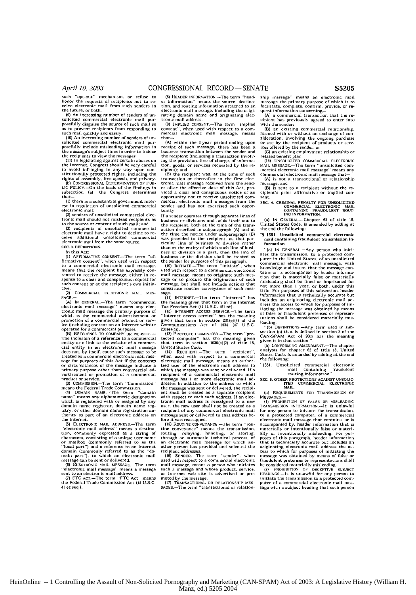**(9)** An increasing number **ot** senders **of** un-solicited commercial electronic mail pur-posefully disguise the source of such mail so

as to prevent recipients from responding to<br>such mail quickly and easily.<br>**(10) An increasing number of senders of un-**<br>(10) An increasing number of senders of un-<br>posefully include misleading information in

the message's subject lines in order **to** induce the recipients to view the messages (11) in legislating against certain abuses **on** the Internet, Congress should **be** very careful to avoid infringing In any way upon con-<br>stitutionally protected rights, including the<br>rights of assembly, free speech, and privacy.<br>(b) CoNGRESSIONAL DETERMINATION OF PUB-

LIC POLICY.—On the basis of the findings in<br>subsection (a), the Congress determines<br>that—

(I) there is a substantial government inter-<br>est in regulation of unsolicited commercial<br>electronic mail;<br>(2) senders of unsolicited commercial elec-<br>tronic mail should not mislead recipients as

to sources or unsolineer commercial exceptions<br>to the source or content of such mail; and<br>(3) recipients of unsolicited commercial

electronic mail have a right to decline to re-<br>ceive additional unsolicited commercial ceive additional unsolicited electronic mail from the same source. **SEC.** 3. DEFINITIONS.

**In** this Act:

**(1)** AFFIRMATIVE CONSENT.-The term "affirmative consent", when used with respect<br>to a commercial electronic mail message.<br>means that the recipient has expressly consented to receive the message, either in re-sponse to a clear and conspicuous request for such consent *or* at the recipient's **own** initia- tive (2) COMMERCIAL **ELECTRONIC** MAIL **MES-**

**SAGE.-** (A) **IN GENERAL-The** term "commercial electronic mail message" means any electronic mail message the primary purpose of which is the commercial advertisement or promotion of a commercial modulation to service (including content on an internet website operated

The inclusion **of** a reference to a commercial entity **or** a link to the website of a commer-cial entity in an electronic mail message does not. by itself, cause such message **to be** treated as a commercial electronic mail mes-<br>sage for purposes of this Act if the contents sage **for** purposes **of** this Ant **If** the contents or circumstances of the message indicate a primary purpose other than commercial ad-<br>
vertisement or promotion of a commercial<br>
product or service.<br>
(3) COMMISSION,-The term "Commission"

means the Federal Trade Commission.<br>(4) DOMAIN NAME.-The term "domain"<br>name" means any alphanumeric designation<br>which is registered with or assigned by any domain name registrar, domain name reg-istry. *or* other domain **name** registration au-thority **as** part **of** an electronic address on the Internet.

**(5)** ELECTRONIC MAIL ADDRESS,-The term "electronic mail address" means a destina-<br>tion, commonly expressed as a string of<br>characters, consisting of a unique user name<br>or mailbox (commonly referred to as the<br>"local part") and a reference to an internet domain (commonly referred to as the "do-<br>main part"). to which an electronic mail<br>message can be sent or delivered.<br>(6) ELECTRONIC MAIL MESSAGE.-The term<br>"electronic mail message" means a message

sent to an electronic mail address. (7) FTC ACT.-The term "FTC Act' means **the** Federal Trade Commission **Act (15 U.S.C,** 41 **et** seq.)

(8) HEADER INFORMATION.-The term "headinformation" means the source, destination. and routing inlormation attached to an electronic mail message, Including the origi-nating domain name and originating electronic mail address.

**(9)** IMPLIED CONSENT.-The term "implied consent\*% when used with respect to a **com-** mercial electronic mail message, means that-

(A) within the 3-year period ending upon receipt **of** such message, there has been a business transaction between the sender and the recipient (including a transaction invol- ing the provision, free of charge. **of** informa-tion, goods, **or** services requested by the recipient); and

(B) the recipient was, at the time of such transaction or thereafter in the first elec-<br>tronic mail message received from the sendtronic mail message received from the send-er after the effective date *of* this Act. provided a clear and conspicuous notice of **ani** opportunity not to receive unsolicited commercial electronic mail messages from tise sender and has not exercised such opportunity.

**If** a sender operates through separate lines of business **or** divisions and holds itself *out* to the recipient, both at the time of the transaction described in subparagraph (A) and at<br>the time the notice under subparagraph (B) was provided to the recipient, as that particular line **of** business or division rather than as the entity **of** which such line of busi-ness or division is a part, then the line of business or the division shall be treated as

the sender for purposes of this paragraph.<br>**(10) INITIATE.—The term "initiate", when**<br>used with respect to a commercial electronic mail message, means to originate such **mes** sage or **to** procure the origination of sath message, but shall not include actions that constitute routine conveyance of such message. **(i1) INTERNET.-The** term ''Internet' has

the meaning given that term in the Internet Tax Freedom Act **(47** U.S.C. isi n).

**(IZ) INTERNET ACCESS** SERVICE.-The term 'lnternet access service" has the meaning given that term in section 231(e)(4) of the<br>Communications Act of 1934 (47 U.S.C.  $231(e)(4)$ 

(13) PROTECTED COMPUTER.-The term "protected computer" has the meaning **given** that term in section 1030(e)(2) **of** title **18,** United States Code. (14) RECIPIENT.-The term "recipient",

when used with respect to a commercial<br>electronic mall message, means an author-<br>ized user of the electronic mail address to which the message was sent or delivered. **If** a recipient of a commercial electronic mail message has **I** or more electronic mail ad-dresses In addition to the address to which the message was sent or delivered, the recipi-ent shall be treated as a separate recipient with respect to each such address. **If** an elec- tronic mail address is reassigned to a new user, the new user shall not be treated as a recipient **of** any commercial electronic mail message sent **or** delivered to that address before it was reassigned.

(15) ROUTINE CONVEYANCE.—The term "rou-<br>tine conveyance" means the transmission,<br>routing, relaying, handling, or storing,<br>through an automatic technical process, of<br>an electronic mail message for which an-<br>other person has recipient addresses<br>(16) SENDER —Th

**(6)** SENDER.-The term "sender', when used with respect to a commercial electronic mall message, means a person who initiates such a message and whose product, service. or Internet web site is advertised or pro-

moted **by** the message. (17) **TRANSACTIONAL** OR RELATIONSHIP **MES-**SAGES.-The term "transactional or relationship message" means an electronic mail message the primary purpose of which is to facilitate, complete, confirm, provide, **or re-**

quest information concerning- **(A)** a commercial transaction that the recipient has previously agreed to enter into with the sender;

with the sender,<br>(B) an existing commercial relationship.<br>formed with or without an exchange of con-<br>sideration, involving the ongoing nurchase sideration, involving the ongoing purchase or use **by** the recipient of products or serv-ices offered by the sender; **or**

(C) an existing employment relationship or related benefit plan. (18) **UNSOLICITED** COMMERCIAL ELECTRONIC MAIL MESSAGE.-The term "unsolicited commercial electronic mail message'' means any commercial electronic mail message (A) is not a transactional or relationship

message; and (B) is sent to a recipient without the re-

cipient's prior affirmative or Implied con-<br>sent.

## **SEC. 4. CRIMINAL PENALTY** FOR **UNSOLICITED** COMMERCIAL **ELECTRONIC** MAIL CONTAINING **FRAUDULENT ROUT- ING** INFORMATION.

(a) **IN** GENERAL.-Chapter **63** ot title **18.** United States Code, is amended by adding at the end the following:

#### **"6 1351.** Unsolicited **commercial electronic** mail **containing** fraudulent **transmission Information**

-(a) **IN** GENERAL.-Any person who initiates the transmission, to a protected com-<br>puter in the United States, of an unsolicited puter in the United States, of an unsolicted<br>commercial electronic mail message, with<br>knowledge and intent that the message con-<br>tains or is accompanied by header informa-<br>tion that is materially false or materially<br>mislea inclades an originating electronic mail **ad-**dress the access to which for purposes of ini-tiating the message was obtained by means of false or fraudulent pretenses or representating the message was obtained by means<br>of false or fraudulent pretenses or represen-<br>tations shall be considered materially misleading.

"(b) DEFINITIONS.-Any term used in **ab-**section (a) that is defined in section **3** of the CAN-SPAM Act **of** 2003 has the meaning given it in that section,"<br>(b) CONFORMING AMEND

**(b) CONFORMING** AMENDMENT.-The chapter analysis for chapter 63 of title 18. States Code, **is** amended by adding at the *end* the following:

**"1351.** Unsolicited commercial electronic mail containing fraudulent roting information-.

**SEC. 5.** OTHER PROTECTIONS **AGAINST UNSOLIC-lIED** COMMERCIAL **ELECTRONIC MAIL.**

(a) **REQUIREMENTS FOR** TRANSMISSION **OF**

MESSAGES- **(i) PRODIBITION OF** FALSE OR **MISLEADING** TRANSMISSION INFORMATION.-It is unlawful **for** any person to initiate the transmission, to a protected computer, of a commercial electronic mail message that contains, or is accompanied by, header information that is materially *or* intentionally false or niateri ally or intentionally misleading. For pur-<br>these of this paragraph, header information<br>that is technically accurate but includes an<br>originating electronic mail address the ac-<br>tess to which for purposes of initiality the<br>m

(2) PROHIBITION OF DECEPTIVE SUBJECT<br>HEADINGS.—It is unlawful for any person to<br>Initiate the transmission to a protected computer of a commercial electronic mail mes-<br>sage with a subject heading that such person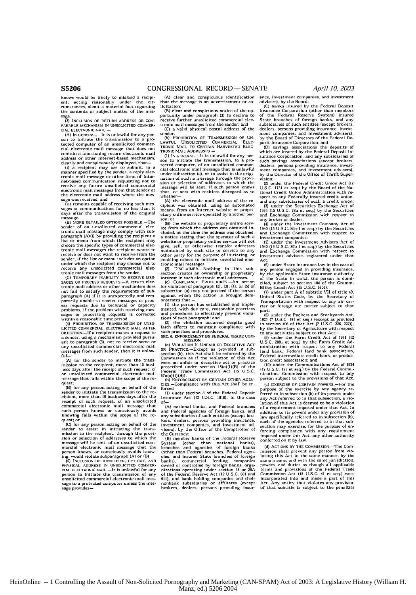knows would be likely to mislead a recipi. ent. acting reasonably under the **cir-**cumstances, about a material fact regarding the contents or subject matter of the mes-

sage.<br><sup>(3)</sup> INCLUSION OF RETURN ADDRESS OR COM-PARABLE MECHANISM IN **UNSOLICITED** COMMER-

CIAL ELECTRONIC MAIL.—<br>(A) IN CENERAL.—It is unlawful for any per-<br>son to initiate the transmission to a pro-<br>tected computer of an unsolicited commer-<br>cial electronic mail message that does not<br>contain a functioning retur address or other Internet-based mechanism<br>clearly and conspicuously displayed, that—

(i) a recipient may use to submit. in a manner specified **by** the sender, a reply elec-trounic mail message or other form of Internet-based communication requesting not to receive any future unsolicited commercial electronic mail messages from that sender at the electronic mail address **where** the message was received; and

(ii) remains capable of receiving such mes-sages or communications for no less than **30** days after the transmission of the original

message. (B) MORE DETAILED OPTIONS **POSSIBLE.-The** sender of an unsolicited commercial elec-tronic mail message may comply with sub-paragraph (A)(I) by providing the recipient a list or menu from which the recipient may choose the specific types of commercial elec-tronic mail messages the recipient wants to receive or does not want to receive from the sender, if the list or menu includes an option under which the recipient may choose not to<br>receive any unsolicited commercial elec-<br>tronic mall messages from the sender.<br>(C) TEMPORARY INABILITY TO RECEIVE MES-<br>SAGES OR PROCESS REQUESTS.--A return elec-

tronic mail address *or* other mechanism does not fall to satisfy the requirements of sub paragraph (A) if it is unexpectedly and temporarily unable to receive messages or proc-<br>ess requests due to technical or capacity<br>problems, if the problem with receiving messages **or** processing requests Is corrected within a reasonable time period. (4) PROIOBITION OF TRANSMISSION OF **UNSO-**LICITED COMMERCIAL **ELECTRONIC** MAIL AFTER

OBJECTION.-If a recipient makes a request to **a** sender, using a mechanism provided pursuant to paragraph (3), not to receive some or any unsolicited commercial electronic mail messages from such sender, then it is unlawful-

(A) for the sender to initiate the transnission to the recipient, more than **10** busi-ness days after **the** re.eipt of sash request, of an unsolicited commercial electronic mail message that falls within the scope of the reque

(B) for any person acting on behalf of the sender to initiate the transmission to the **re**cipient, more than **i0** business days after the receipt of such request, of an unsolicited such person knows or consciously avoids knowing falls within the scope of the **re**quest; or<br>(C) for

for any person acting on behalf of the sum to the recipient, through the transmission to the recipient, through the provi-<br>sion or selection of addresses to which the<br>message will be sent, of an unsolicited com-<br>message will be sent, of an unsolicited mercial electronic mail message that the<br>person knows, or consciously avoids know-<br>ing. would violate subparagraph (A) or (B).<br>(5) **INCLUSION OF IDENTIFIER, OPT-OUT, AND** 

PHYSICAL ADDRESS IN UNSOLICITED COMMER-<br>CIAL ELECTRONIC MAIL.—It is unlawful for any<br>person to initiate the transmission of any unsolicited commercial electronic mail message to a protected computer unless the mes-**sage** provides-

(A) clear and conspicuous identification that the message is an advertisement or solicitation:

(B) clear and conspicuous notice of the **op**portunity under paragraph  $(3)$  to decline receive further unsolicited commercial electronic mail messages from the sender; and (C) a valid physical postal address of the

sender. **(b)** PROHIBITION OF TRANSMISSION OF **UN-LAWFUL** UNSOLICITED COMMERCIAL **ELEC**tronic Mail to Certain Harvested Elec-<br>tronic Mail Addresses.—

**(1) IN** GENERAL.-It is unlawful for any person to initiate the transmission, to a pro-tected computer, of an unsolicited commer-**cial** electronic mall message that is unlawful under subsection (a), or to assist in the origination of such a message through the provi-sion or selection of addresses to **which** the iessage will be sent, **If** such person knows that, or acts with reckless disregard as to whether- (A) the electronic mail address of the re-

cipient **was** obtained, using an automated means, from an Internet website or propri-etary online service operated by another per- son; **or**

(B) the website or proprietary online serv-ice from which the address was obtained **in-**cluded, at the time the address was obtained, a notice stating that the operator of such a<br>website or proprietary online service will not<br>glve, sell, or otherwise transfer addresses<br>maintained by such site or service to any<br>other party for the purpose of initiating, o

section creates an ownership or proprietary<br>interest in such electronic mail addresses.<br>(c) COMPLIANCE PROCEDURES.-An action

(c) COMPLIANCE PROCEDURES.—An action<br>for violation of paragraph (2), (3), (4), or (5) of<br>subsection (6) may graph (2), (3), (4), or (5) of subsection (a) may not proceed if the person against whom the action Is brought dem-onstrates that **-**

(I) the person has established and imple-<br>mented, with due care, reasonable practices<br>and procedures to effectively prevent violations of such paragraph; and

(2) the violation occurred despite good<br>faith efforts to maintain compliance with<br>such practices and procedures.<br>**SEC. a. ENFORCEMENT BY FEDERAL TRADE COM-**

(a) VIOLATION IS UNFAIR OR DECEPTIVE ACT<br>OR PRACTICE.-Except as provided in sub-<br>section (b), this Act shall be enforced by the<br>Commission as **If** the violation of this Act were *an* unfair or deceptive act or practice proscribed under section 18(a)(l)(B) of the Federal Trade Commission Act **(15** U **S.C.** 57a(a)(1)(B)).<br>(b) Enforcement by Certain Other Agen-

CIES.-Compliance with this Act shall be enforced-

**(I)** under section **8** of the Federal Deposit Insurance Act **(12** U.S.C. **1818),** in the case **of-**

(A) national banks, and Federal branches and Federal agencies of foreign banks, and any subsidiaries of such entities (except brokers, dealers, persons providing insurance, Investment companies, and investment **ad-**visers), **by** the Office of the Comptroller of the Currency; (B) member banks of the Federal Reserve

System (other than national banks), branches and agencies of foreign banks (other than Federal branches, Federal agena than reueral branches, redetal agentand insured State branches of foreign banks). commercial lending companies owned or controlled by foreign banks, orgaoncator continue of the section 25 or 25A<br>nizations operating under section 25 or 25A<br>611), and bank holding companies and their<br>611), and bank holding companies and their<br>nonbank subsidiaries or affiliates (except<br>brokers ance, investment companies, and investment advisers), by the Board;<br>(C) banks insured by the Federal Deposit

Insurance Corporation (other than members of the Federal Reserve System) insured State branches of foreign banks, and any State branches of foreign banks, and any<br>subsidiaries of such entities (except brokers, dealers, persons providing insurance, Investment companies, and investment advisers), by the Board of Directors of the Federal **De**posit Insarance Corporation; and **(D)** savings associations the deposits of

which are insured by the Federal Deposit In-<br>surance Corporation, and any subsidiaries of<br>such savings associations (except brokers. dealers. persons providing insurance, invest-ment companies, and investment advisers), the Director of the Office of Thrift Super vision;

(2) under the Federal Credit Union Act **(12 US.C,** 1751 ec seq.) by the Board of the **Na-**tional Credit Union Administration with re-spect to any Federally insured credit union, and **any** subsidiaries of such a credit union (3) under the Securities Exchange Act of 1934 **(15 U.S.C.** 78a et seq.) by the Securities and Exchange Commission with respect to any broker or dealer;

(4) under the Investment Company Act of 1940 **(15** U **S.C.** 80a-I et seq.) by the Securities and Exchange Commission with respect **to**

investment companies;<br>(5) under the Investment Advisers Act of<br>1940 (15 U.S.C. 80b-1 et seq.) by the Securities<br>and Exchange Commission with respect to<br>investment advisers registered under that<br>Act;

**(6)** under State insurance law in the case **of** any person engaged in providing insurance, by the applicable State insurance authority

of the State in which the person is domi-<br>cited, subject to section 104 of the Gramm-<br>Biliey-Leach Act (is U.S.C. 670);<br>(7) under part A of substite VII of title 49.<br>United States Code, by the Secretary of<br>Transportation w part,

**(8)** under the Packers and Stockyards Act, 1921 (7 **U.S.C. 181** et seq.) (except as provided In section 406 of that Act **(7 U.S.C. 226. 227)),**

in Second for the Secretary of Agriculture with respect<br>(to any activities subject to that Act (1971 (12<br>(19) under the Farm Credit Act of 1971 (12<br>(19). C. 2001 et seq.) by the Farm Credit Ad-<br>ministration with respect to Federal intermediate credit bank, or produc-

tion credit association; and<br>
(It) under the Communications Act of 1934<br>(47 U.S.C. 151 et seq.) by the Federal Communications<br>
nications Commission with respect to any person subject to the provisions of that Act.

**(c)** EXERCISE OF CERTAIN POWFRS.-For the purpose of the exercise by any agency **re-**ferred to in subsection **(b)** of Its powers under any Act referred to in that subsection, a vio-lation of this Act Is deemed to be a violation of a requirement Imposed under that Act. In addition to its powers under any provision of law specifically referred to In subsection (b), each of the agencies referred to in that sub-<br>section may exercise, for the purpose of en-<br>forcing compliance with any requirement<br>imposed under this Act. any other authority conferred on It **by** law.

**(d)** ACTIONS BY TilE COMMISSION.-The Commission shall prevent **any** person from **vio**lating this Act in the same manner, by the same means, and with the same jurisdiction, powers, and duties as though all applicable terms and provisions of the Federal Trade<br>Commission Act (15 U.S.C. 41 et seq.) were<br>incorporated Into and made a part of this<br>Act. Any entity that violates any provision<br>of that subtitle is subject to the penalties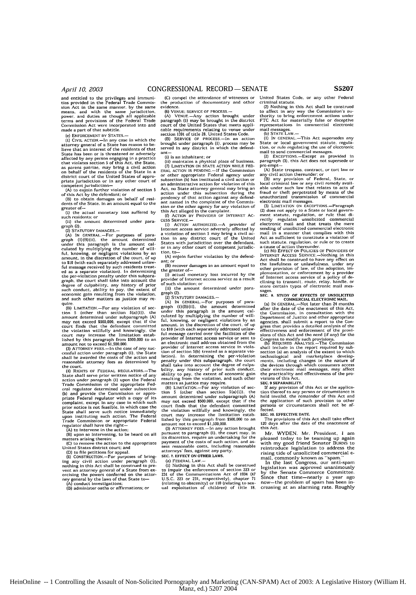and entitled to the privileges and immuni-<br>ties provided in the Federal Trade Commisties provided in the Federal Trade Commission<br>Act in the same manner, by the same<br>means, and with the same jurisdiction,<br>power, and duties as though all applicable<br>terms and provisions of the Federal Trade<br>Commission Act w made a part of that subtitle.

(e) ENFORCEMENT **BY STATES.-**

**([)** CIVIL ACTION.-In any case in which the attorney general of a State has reason to **be-**lieve that an interest of the residents of that State has been or is threatened or adversely affected **by** any person engaging in a practice that violates section **5** of this Act. the State. as parens patriae, may bring a civil action on behalf of the residents of the State in a district court of the United States of appro-priate jurisdiction or In any other court of competent jurisdiction-

**(A)** to enjoin further violation of section 5 of this Act by the defendant: or **(0)** to obtain damages on behalf of resi-

dem of the State. in an amount equal **to** the greater of-**(I)** the actual monetary loss suffered by

such residents; or (ii) tie amount determined under para-

graph (2). **(2)** STATUTORY **DAMAGES.-**

(A) IN CENERAL.—For purposes of para-<br>graph (I)(8)(ii), the amount determined<br>under this paragraph is the amount cal-<br>culated by multiplying the number of will-<br>iul, knowing, or negligent violations by an<br>amount, in the d to \$10 (with each separately addressed unlaw-<br>ful measage received by such residents treat-<br>ed as a separate violation). In determining<br>the per-violation penalty under this subpar-<br>graph, the court shall take into account

quire.<br>(B) LIMITATION .- For any violation of section 5 (other than section 5(a)(I)), the<br>monunt determined under subparagraph (A)<br>may not exceed \$500,000, except that if the<br>court finds that the defendant committed<br>for violation willfully and knowingly, the<br>court may in

(3) ATTORNEY FEES.-In the case of any successfol action under paragraph **(1),** the State shall **be** awarded the costs of the action and reasonable attorney fees as determined by the coart.

**(4)** RIGHTS **OF** FEDERAL RECULATORs.-The State shall serve prior written notice of any<br>excitos charge prior written notice of any<br>cation under paragraph (i) upon the Federal<br>Trade Commission or the appropriate Federal<br>(b) and provide the Commission or appro-<br>prin

**(D)** to file petitions for appeal. **(5)** CONSTRUCTION.-For purposes **of** bringing any civil action under paragraph **(1)**<br>
nothing in this Act shall be construed to pre-<br>
vent an attorney general of a State from ex ercising the powers conferred on the attor-

ney general by the laws of that State to-<br>
(A) conduct investigations;<br>
(B) administer oaths or affirmations; or

(C) compel the attendance of witnesses or production of documentary and other evidence.<br>(6) VEN

**(6) VENUE; SERVICE** OF **PROCESS.-**

**(A)** VeNUE.-Any action brought under paragraph **(1)** may be brought in the district court of the United States that meets applicable requirements relating to venue under section **1391** of title 28, United States Code.

(B) SERVICE OF PROCESS.—In an action<br>brought under paragraph (I), process may be<br>served in any district in which the defend-<br>ant-...<br>(i) is an inhabitant; or

(ii) maintains a physical place of business. (71 LIMITATION ON **STATE** ACTION WHILE **FED-**ERAL ACTION **IS** PENDING.-If the Commission or other appropriate Federal agency under subsection **(b)** has instituted a civil action or an administrative action for violation of this Act. no State attorney general may bring an action under this subsection during the pendency of that action against any defend-<br>ant named in the complaint of the Commis-<br>sion or the other agency for any violation of<br>this Act alleged in the complaint.<br>(f) ACTION BY PROVIDER OF INTERNET AC-

CESS SERVICE.—<br>— (I) = ACTION = AUTHORIZED.—A = provider = of<br>Internet access service adversely affected by a violation of section 5 may bring a civil action in any district court of the United<br>States with jurisdiction over the defendant,<br>or in any other court of competent jurisdiction. to-

**(A)** enjoin further violation by the defendant; or

(B) recover damages in an amount equal to the greater **of-**

**(i)** actual monetary **loss** incurred by the provider of Internet access service as a resuit of such violation, or (1i) the amount determined under para-

graph (2).

(2) STATUTORY **DAMAGES.-**

(A) **IN GENERAL**—For purposes of para-<br>graph (l)(B)(ii), the amount determined<br>under this paragraph is the amount cal-<br>culated by multiplying the number of willful, knowing, or negligent violations by an amount. In the discretion of the court, of up to 10 (with each separately addressed unlaw-<br>ful message carried over the facilities of the other ful message carried over the facil lation). In determining the per-violation<br>penalty under this subgaragem, the court shall take into account the degree of culpa-<br>bility, any history of prior such conduct.<br>ability to pay, the extent of economic gain<br>matter

amount determined under subparagraph **(A)** *may* not exceed **\$500,000.** except that if the outt finds that the defendant committed the violation willfully and knowingly, the court may increase the limitation estab-lished by this paragraph from **\$500.000** to an

amount not to exceed \$1,500,000.<br>(3) ATTORNEY FEES.—In any action brought<br>pursuant to paragraph (1), the court may, in<br>stas discretion, require an undertaking for the<br>payment of the costs of such action, and as-<br>sess reaso **SEC. 7. EFFECT ON OTHER** LAWS.

(a) FEDERAL LAW.

(i) Nothing in this Act shall be construed<br>(i) Nothing in this Act shall be construed<br>231 of the Eommunications Act of 1934 (47<br>10.5.C. 223 or 231, respectively), chapter 71<br>(relating to obscenity) or 110 (relating to sex-

United States Code, or any other Federal criminal statute.

(2) Nothing in this Act shall be construed to affect in any way the Commission's **au-**thority to bring enforcement actions under FTC Act for materially false or deceptive representations in commercial electronic mail messages. **(b)** STATE LAW.-

(I) **IN** GENERAL.-This Act supersedes any State or local government statute. regula-**tion,** or rule regulating the use of electronic

mail to send commercial messages. **(2)** EXCEPTIONS.-Except as provided in paragraph (3). this Act does not supersede or pre-empt-

**(A)** State trespass, contract, or tort law ci

any civil action thereunder; or<br>
(B) any provision of Federal, State, or<br>
(Boat criminal law or any civil remedy avail-<br>
able under such law that relates to acts of<br>
fraud or their perpertated by means of the<br>
unauthorized

electronic mail messages.<br>
(3) LMITATION ON EXCEPTIONS.—Paragraph<br>
(2) does not apply to a State or local government<br>
rement statute, regulation, or rule that di-<br>
recetly regulates unsolicited commercial<br>
electronic mail mail in a manner that complies with this Act as sufficient to constitute a violation of such statute, regulation, or rule **or** to create a cause **of** action thereunder. (c) NO EFFECT **ON** POLICIES OF PROVIDERS OF

INTERNET ACCESS SERVICE.-Nothing in this Act shall **he** construed to have any effect on the lawfulness or unlawfulness, under any other provision or law, of the adoption, **m**plementation, or enforcement by a provider<br>of Internet access service of a policy of de-<br>clining to transmit, route, relay, handle, or<br>store certain types of electronic mail messages.

**SEC. 8. STUDY OF EFFECTS OF UNSOLICITED**<br> **(a) IN GENERAL.—Not later than 24 months** 

after the date of the enactment of this Act. the Commission. In consultation with the Department of Justice and other appropriate agencies, shall submit a report to the Con-gress that provides a detailed analysis of the effectiveness and enforcement of the provi-<br>
Sions of this Act and the need (if any) for the<br>
Congross to modify such provisions.<br>
(b) ReQUIRED ANALYSIS.-The Commission<br>
shall include in the report required by sub-

snall include in the report required by sub-<br>section (a) an analysis of the extent to which<br>technologies and  $\frac{1}{2}$ become the development of the developments, including changes in the nature of<br>the devices through which consumers access<br>their electronic mail messages, may affect<br>the practicality and effectiveness of the pro-<br>visions of

SEC. 9 SEPARABILITY.<br>If any provision of this Act or the applica-<br>ition thereof to any person or circumstance is<br>held invalid, the remainder of this Act and<br>the application of such provision to other<br>persons or circumstanc

SEC. **10. EFFECTIVE DATE.**

The provisions of this Act shall take effect 120 days after the date of the enactment of this Act.

Mr. WYDEN. Mr. President, **I** am pleased today to be teaming up again with my good friend Senator BURNS to with my good friend definition bonded to<br>reintroduce legislation to address the<br>rising tide of unsolicited commercial email, commonly known as "span." In the last Congress, our anti-sparn

legislation was approved unanimously by the Senate Commerce Committee. Since that time-nearly a year ago now-the problem of sparn has been increasing at an alarming rate. Roughly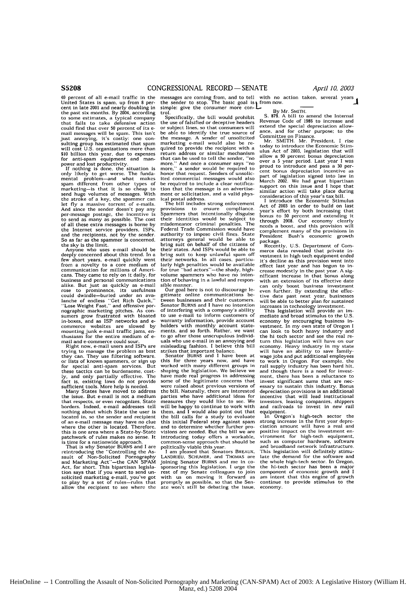40 percent of all e-mail traffic in the United States is spam, up from 8 per-<br>cent in late 2001 and nearly doubling in the past six months. By 2004, according to some estimates, a typical company that fails to take defensive action could find that over 50 percent of its email messages will be spare. This isn't just annoying, it's costly: one con-sulting group has estimated that spare will cost U.S. organizations more than **\$10** billion this year, due to expenses for anti-sparn equipment and man-

power and lost productivity. If nothing is done, the situation Is only likely to get worse. The funda- mental problem-and what makes spare different from other types of marketing-is that it is so cheap to send huge volumes of messages. With the stroke of a key, the spammer can let fly a massive torrent of e-mails. And since the sender doesn't pay any per-message postage, the incentive is to send as many as possible. The cost of all these extra messages is borne by the Internet service providers, ISPs, and the recipients, not **by** the sender. So as far as the spammer is concerned,

the sky is the limit. Anyone who uses e-mail should be deeply concerned about this trend. In a few short years, e-mail quickly went from a novelty to a core medium of communication for millions of Americans. They came to rely on it daily, for business and personal communications alike. But just as quickly as e-mail rose to prominence, its usefulness could dwindle-buried under an ava-lanche of endless "Get Rich Quick," "Lose Weight Fast," and offensive pornographic marketing pitches. As con- sumers grow frustrated with bloated in-boxes, and as ISP networks and e-commerce websites are slowed by mounting junk e-mail traffic jams, **en**thusiasm for the entire medium of email and e-commerce could sour. Right now. e-mail users and ISPs are

trying to manage the problem as best they can. They use filtering software. or lists of known spammers, or sign up<br>for special anti-spam services. But<br>these tactics can be burdensome, costthese tactics can be burdensome, cost-<br>ly, and only partially effective. The<br>fact is, existing laws do not provide<br>sufficient tools. More help is needed.<br>Many States have moved to address

the issue. But e-mail is not a medium that respects, or even recognizes. State borders. Indeed, e-mail addresses tell nothing about which State the user is located in, so the sender and recipient of an e-mail message may have no clue where the other is located. Therefore, this is one area where a State-by-State patchwork of rules makes no sense. It

is time for a nationwide approach. That is why Senator BURNS and I are reintroducing the "Controlling the Assault of Non-Solicited Pornography and Marketing Act"-the CAN SPAM Act, for short. This bipartisan legislation says that if you want to send unsolicited marketing e-mail, you've got to play **by** a set of rules-rules that allow the recipient to see where the messages are coming from, and to tell with no action taken, several years<br>the sender to stop. The basic goal is 1 from now.<br>simple: give the consumer more con-

trol.<br>Specifically, the bill would prohibit. or subject lines, so that consumers will extend the special depreciation allow-**be** able to identify the true source of ance, and for other purpose: to the the message. A sender of unsolicited<br>the message. A sender of unsolicited<br>marketing e-mail would also be remarketing e-mail would also be re-<br>marketing e-mail would also be re-<br>quired to provide the recipient with a today to intervalue the Economic Stimmation premari would also be to the today to introduce the Economic Stim-<br>return address or similar mechanism ulus Act of 2003, legislation that will<br>that can be used to tell the sender, "no allow a 50 percent bonus depre recurrence of the sender the sender in allow a 50 percent bonus depreciation<br>that can be used to tell the sender, "no over a 5 year period. Last year I was<br>more," a sender would be required to proud to introduce and pass a monor that request. Senders of unsolicearbon increasing the observation incentive assume the required increasing served as clear notifical of the required to include a clear notifical model of the required to metal their

provisions to ensure compliance. Nearly effort by both increasing that<br>Spammers that intentionally disguise bonus to 50 percent and extending it<br>their identities would be subject to through 2008. Our economy clearly misdemeanor criminal penalties. The needs a boost, and this provision will<br>Federal Trade Commission would have complement many of the provisions in<br>authority to impose civil fines. State President Bush's economic growth attorneys general would be able to package.<br>bring suit on behalf of the citizens of **Reception** their states. And ISPs would be able to bring suit to keep unlawful spam off their networks. In all cases, particu- it's decline as this provision went into larly high penalties would be available effect last year and has begun to involume spainmers who have no inten-<br>volume spainmers who have no inten-<br>inficant increase in that bonus along<br>volume spainmers who have no inten-<br>inficant increase in that bonus along

gitimate online communications be-<br>twee date past next year, businesses<br>tween businesses and their customers, will be able to better plan for sustained Senator BURNS and I have no intention increases in technology investment.<br>Senator BURNS and I have no intention increases in technology investment.<br>To use e-mail to inform customers of mediate and broad stimulus to the U. warranty information, provide account economy by encouraging business in-<br>holders with monthly account state-vestment. In my own state of Oregon I<br>ments, and so forth. Rather, we want can look to both heavy industry and<br>to to go after those unscrupulous Individ- the hi tech sector and see the real re-<br>uals who use e-mail in an annoying and turn this legislation will have on our<br>misleading fashion. I believe this bill economy. Heavy industry

this for three years now, and have to work in Oregon. For example, the this for three years now, and have<br>worked with many different groups in shaping the legislation. We believe we and though there is a need for investhave made real progress in addressing<br>have made real progress in addressing<br>some of the legitimate concerns that were raised about previous versions of essary to sustain this industry. Bonus the bill. Naturally, there are interested depreciation provisions is an additional metries who have additional ideas for incentive that will lead institutional<br>measures they would like to see. We investors, leasing companies, shippers<br>will be happy to continue to work with and railroads to invest in new will be happy to continue to work with and railroads to invest in new rail them, and I would also point out that equipment.<br>them, and I would also point out that equipment.<br>the bill calls for a study to evaluate In Oregon' the bill calls for a study to evaluate The Oregon's high-tech sector the bill calls for a study to evaluate The Oregon's high-tech sector the first was the first product and to determine whether further pro- clation amount visions are needed. But the bill we are positive impact on the investment **en-**introducing today offers a workable, vironment for high-tech equipment,

LANDRIEU, SCHUMER, and THOMAS are late the demand for the software and Joining Senator BURNS and me in co- the whole high-tech sector. In Oregon, Schumer sponsoring this legislation. I urge the the hi-tech sector has been sponsoring this legislation. I urge the the hi-tech sector has been a major rest of my Senate colleagues to join component of economic growth and I<br>with us on moving it forward as am intent that this engine of growth ate won't still be debating the issue, economy.

**Specifically, the bill would prohibit S. 879.** A bill to amend the Internal the use of falsified or deceptive headers Revenue Code of 1986 to increase and

complement many of the provisions in<br>President Bush's economic growth

bridge:<br>Recently, U.S. Department of Commerce data revealed that private investment in high tech equipment ended larly high penalties would be available effect last year and has begun to in-<br>for true "bad actors"—the shady, high-effect last year and has begun to intion of behaving in a lawful and respon-<br>including the antension of its effective date<br>sible manner. sible manner, can only boost business investment Our goal here is not to discourage le- even further. By extending the effec-<br>gittmate online communications be-<br>gittmate online communications be-<br>ive date past next year, b

misleading fashion. I believe this bill economy. Heavy industry in my state<br>strikes that important balance, will have an ability to save family-<br>Senator BURNS and I have been at wage jobs and put additional employees ment, there has been a reluctance to<br>invest significant sums that are nec-<br>essary to sustain this industry. Bonus<br>depreciation provisions is an additional

Common-sense approach that should be such as computer hardware, software<br>politically viable this year. and broadband network infrastructure.<br>I am pleased that Senators BREAUX, This legislation will definitely stimu-<br>LANDRI am intent that this engine of growth<br>continue to provide stimulus to the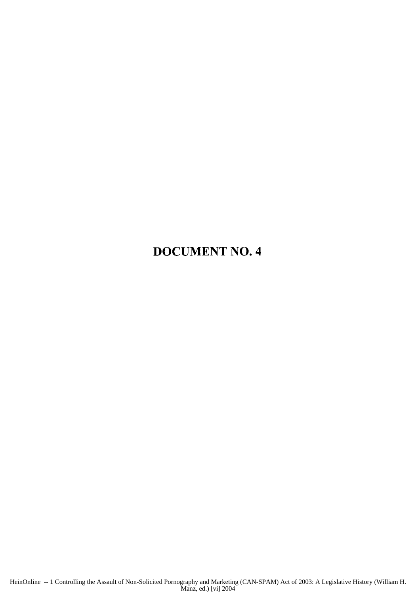### DOCUMENT NO. 4